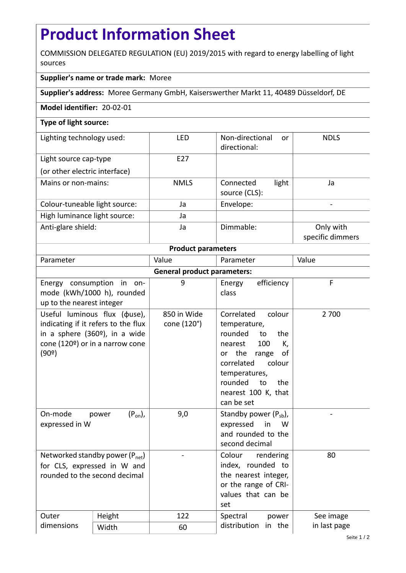# **Product Information Sheet**

COMMISSION DELEGATED REGULATION (EU) 2019/2015 with regard to energy labelling of light sources

## **Supplier's name or trade mark:** Moree

**Supplier's address:** Moree Germany GmbH, Kaiserswerther Markt 11, 40489 Düsseldorf, DE

### **Model identifier:** 20-02-01

## **Type of light source:**

| Lighting technology used:     | <b>LED</b>      | Non-directional<br>or<br>directional: | <b>NDLS</b>                   |
|-------------------------------|-----------------|---------------------------------------|-------------------------------|
| Light source cap-type         | F <sub>27</sub> |                                       |                               |
| (or other electric interface) |                 |                                       |                               |
| Mains or non-mains:           | <b>NMLS</b>     | light<br>Connected<br>source (CLS):   | Ja                            |
| Colour-tuneable light source: | Ja              | Envelope:                             |                               |
| High luminance light source:  | Ja              |                                       |                               |
| Anti-glare shield:            | Ja              | Dimmable:                             | Only with<br>specific dimmers |

#### **Product parameters**

| Parameter                          |                                                                                                                                                             | Value                      | Parameter                                                                                                                                                                                                           | Value        |  |  |
|------------------------------------|-------------------------------------------------------------------------------------------------------------------------------------------------------------|----------------------------|---------------------------------------------------------------------------------------------------------------------------------------------------------------------------------------------------------------------|--------------|--|--|
| <b>General product parameters:</b> |                                                                                                                                                             |                            |                                                                                                                                                                                                                     |              |  |  |
| up to the nearest integer          | Energy consumption in on-<br>mode (kWh/1000 h), rounded                                                                                                     | 9                          | efficiency<br>Energy<br>class                                                                                                                                                                                       | F            |  |  |
| (90°)                              | Useful luminous flux ( $\phi$ use),<br>indicating if it refers to the flux<br>in a sphere $(360°)$ , in a wide<br>cone (120 $\degree$ ) or in a narrow cone | 850 in Wide<br>cone (120°) | Correlated<br>colour<br>temperature,<br>rounded<br>the<br>to<br>100<br>nearest<br>K,<br>the range<br>οf<br>or<br>correlated<br>colour<br>temperatures,<br>rounded<br>to<br>the<br>nearest 100 K, that<br>can be set | 2 700        |  |  |
| On-mode<br>expressed in W          | $(P_{on})$ ,<br>power                                                                                                                                       | 9,0                        | Standby power $(P_{sb})$ ,<br>expressed<br>in<br>W<br>and rounded to the<br>second decimal                                                                                                                          |              |  |  |
| rounded to the second decimal      | Networked standby power $(P_{net})$<br>for CLS, expressed in W and                                                                                          |                            | Colour<br>rendering<br>index, rounded to<br>the nearest integer,<br>or the range of CRI-<br>values that can be<br>set                                                                                               | 80           |  |  |
| Outer                              | Height                                                                                                                                                      | 122                        | Spectral<br>power                                                                                                                                                                                                   | See image    |  |  |
| dimensions                         | Width                                                                                                                                                       | 60                         | distribution<br>in the                                                                                                                                                                                              | in last page |  |  |